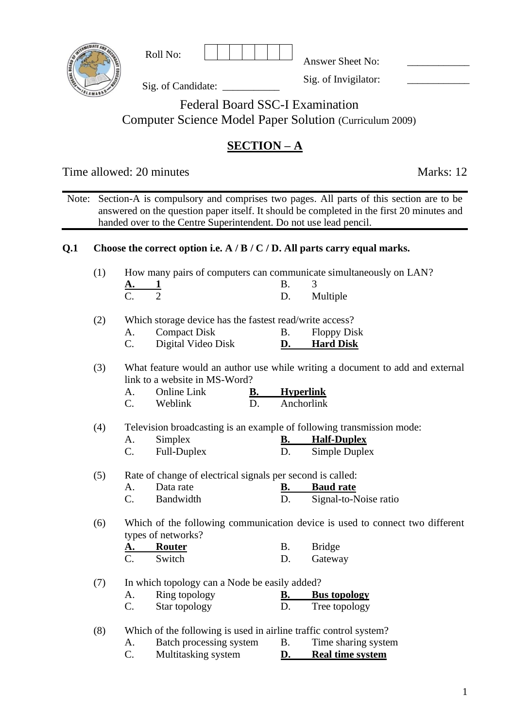| Rol<br>No: |  |  |  | Answer Sheet No: |  |
|------------|--|--|--|------------------|--|
|            |  |  |  |                  |  |

Sig. of Candidate:

Sig. of Invigilator:

# Federal Board SSC-I Examination

Computer Science Model Paper Solution (Curriculum 2009)

# **SECTION – A**

Time allowed: 20 minutes Marks: 12

Note: Section-A is compulsory and comprises two pages. All parts of this section are to be answered on the question paper itself. It should be completed in the first 20 minutes and handed over to the Centre Superintendent. Do not use lead pencil.

## **Q.1 Choose the correct option i.e. A / B / C / D. All parts carry equal marks.**

|  |  |  | (1) How many pairs of computers can communicate simultaneously on LAN? |  |
|--|--|--|------------------------------------------------------------------------|--|
|  |  |  |                                                                        |  |

|  |  | D. Multiple |
|--|--|-------------|
|  |  |             |

## (2) Which storage device has the fastest read/write access?

| A | <b>Compact Disk</b> | <b>Floppy Disk</b> |
|---|---------------------|--------------------|
|   | Digital Video Disk  | <b>Hard Disk</b>   |

(3) What feature would an author use while writing a document to add and external link to a website in MS-Word?

|    | <b>Online Link</b> | <b>Hyperlink</b> |
|----|--------------------|------------------|
| C. | Weblink            | Anchorlink       |

(4) Television broadcasting is an example of following transmission mode:

| A. | Simplex     | <b>Half-Duplex</b> |
|----|-------------|--------------------|
|    | Full-Duplex | Simple Duplex      |

(5) Rate of change of electrical signals per second is called:

| Data rate | <b>Baud rate</b>      |
|-----------|-----------------------|
| Bandwidth | Signal-to-Noise ratio |

(6) Which of the following communication device is used to connect two different types of networks?

| <b>A.</b>       | <b>Router</b> | Bridge  |
|-----------------|---------------|---------|
| $\mathcal{C}$ . | Switch        | Gateway |

(7) In which topology can a Node be easily added?

| A       | Ring topology | <b>Bus topology</b> |
|---------|---------------|---------------------|
| ⌒<br>Ć. | Star topology | Tree topology       |

(8) Which of the following is used in airline traffic control system?

| А.                       | Batch processing system | Time sharing system     |
|--------------------------|-------------------------|-------------------------|
| $\curvearrowright$<br>J. | Multitasking system     | <b>Real time system</b> |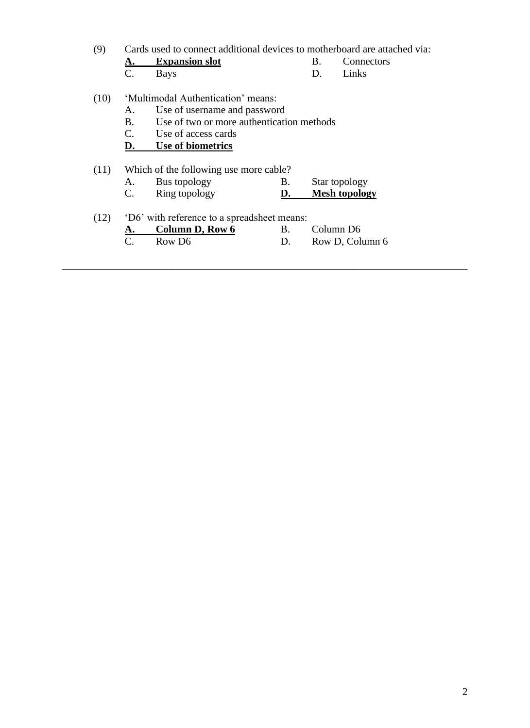(9) Cards used to connect additional devices to motherboard are attached via:

| <b>Expansion slot</b> | Connectors |
|-----------------------|------------|
| <b>Bays</b>           | Links      |

- (10) 'Multimodal Authentication' means:
	- A. Use of username and password
	- B. Use of two or more authentication methods
	- C. Use of access cards
	- **D. Use of biometrics**
- (11) Which of the following use more cable?

| $\mathbf{A}$ | Bus topology  | Star topology        |
|--------------|---------------|----------------------|
|              | Ring topology | <b>Mesh topology</b> |

(12) 'D6' with reference to a spreadsheet means:

| Column D, Row 6 | Column D6       |
|-----------------|-----------------|
| Row D6          | Row D, Column 6 |

\_\_\_\_\_\_\_\_\_\_\_\_\_\_\_\_\_\_\_\_\_\_\_\_\_\_\_\_\_\_\_\_\_\_\_\_\_\_\_\_\_\_\_\_\_\_\_\_\_\_\_\_\_\_\_\_\_\_\_\_\_\_\_\_\_\_\_\_\_\_\_\_\_\_\_\_\_\_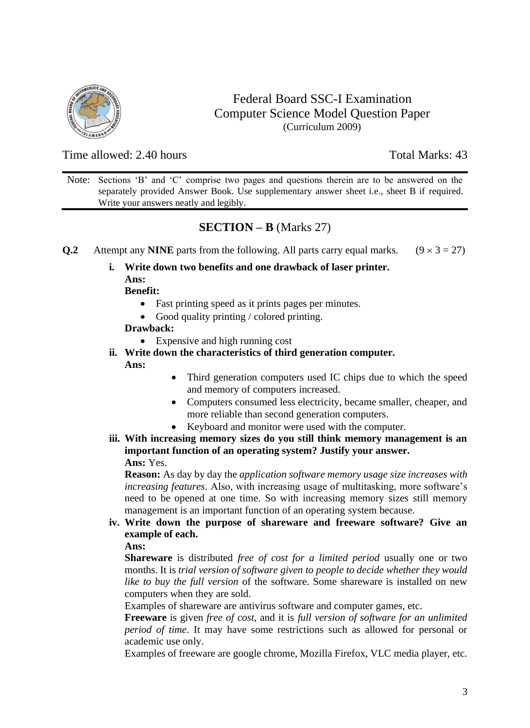

## Federal Board SSC-I Examination Computer Science Model Question Paper (Curriculum 2009)

Time allowed: 2.40 hours Total Marks: 43

Note: Sections 'B' and 'C' comprise two pages and questions therein are to be answered on the separately provided Answer Book. Use supplementary answer sheet i.e., sheet B if required. Write your answers neatly and legibly.

## **SECTION – B** (Marks 27)

- **Q.2** Attempt any **NINE** parts from the following. All parts carry equal marks.  $(9 \times 3 = 27)$ 
	- **i. Write down two benefits and one drawback of laser printer.**
		- **Ans:**

**Benefit:**

- Fast printing speed as it prints pages per minutes.
- Good quality printing / colored printing.

#### **Drawback:**

- Expensive and high running cost
- **ii. Write down the characteristics of third generation computer.**

**Ans:**

- Third generation computers used IC chips due to which the speed and memory of computers increased.
- Computers consumed less electricity, became smaller, cheaper, and more reliable than second generation computers.
- Keyboard and monitor were used with the computer.
- **iii. With increasing memory sizes do you still think memory management is an important function of an operating system? Justify your answer.**

**Ans:** Yes.

**Reason:** As day by day the *application software memory usage size increases with increasing features.* Also, with increasing usage of multitasking, more software's need to be opened at one time. So with increasing memory sizes still memory management is an important function of an operating system because.

#### **iv. Write down the purpose of shareware and freeware software? Give an example of each.**

#### **Ans:**

**Shareware** is distributed *free of cost for a limited period* usually one or two months. It is *trial version of software given to people to decide whether they would like to buy the full version* of the software. Some shareware is installed on new computers when they are sold.

Examples of shareware are antivirus software and computer games, etc.

**Freeware** is given *free of cost*, and it is *full version of software for an unlimited period of time*. It may have some restrictions such as allowed for personal or academic use only.

Examples of freeware are google chrome, Mozilla Firefox, VLC media player, etc.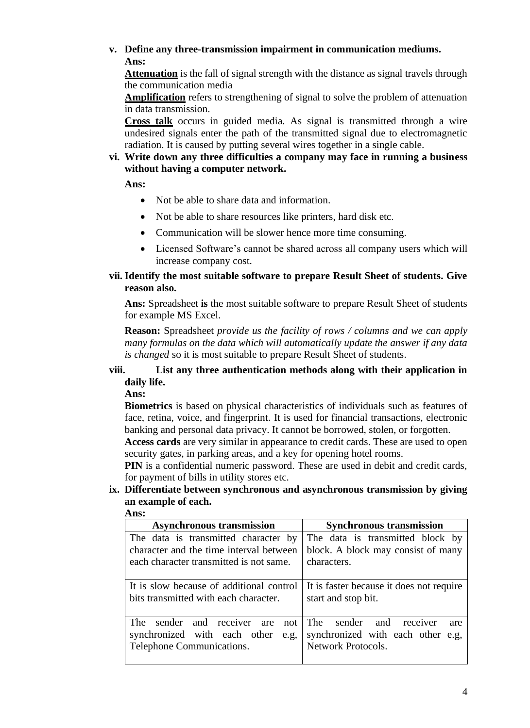## **v. Define any three-transmission impairment in communication mediums. Ans:**

**Attenuation** is the fall of signal strength with the distance as signal travels through the communication media

**Amplification** refers to strengthening of signal to solve the problem of attenuation in data transmission.

**Cross talk** occurs in guided media. As signal is transmitted through a wire undesired signals enter the path of the transmitted signal due to electromagnetic radiation. It is caused by putting several wires together in a single cable.

#### **vi. Write down any three difficulties a company may face in running a business without having a computer network.**

**Ans:**

- Not be able to share data and information.
- Not be able to share resources like printers, hard disk etc.
- Communication will be slower hence more time consuming.
- Licensed Software's cannot be shared across all company users which will increase company cost.

#### **vii. Identify the most suitable software to prepare Result Sheet of students. Give reason also.**

**Ans:** Spreadsheet **is** the most suitable software to prepare Result Sheet of students for example MS Excel.

**Reason:** Spreadsheet *provide us the facility of rows / columns and we can apply many formulas on the data which will automatically update the answer if any data is changed* so it is most suitable to prepare Result Sheet of students.

## **viii. List any three authentication methods along with their application in daily life.**

**Ans:**

**Biometrics** is based on physical characteristics of individuals such as features of face, retina, voice, and fingerprint. It is used for financial transactions, electronic banking and personal data privacy. It cannot be borrowed, stolen, or forgotten.

**Access cards** are very similar in appearance to credit cards. These are used to open security gates, in parking areas, and a key for opening hotel rooms.

**PIN** is a confidential numeric password. These are used in debit and credit cards, for payment of bills in utility stores etc.

**ix. Differentiate between synchronous and asynchronous transmission by giving an example of each.**

#### **Ans:**

| <b>Asynchronous transmission</b>         | <b>Synchronous transmission</b>          |  |
|------------------------------------------|------------------------------------------|--|
| The data is transmitted character by     | The data is transmitted block by         |  |
| character and the time interval between  | block. A block may consist of many       |  |
| each character transmitted is not same.  | characters.                              |  |
| It is slow because of additional control | It is faster because it does not require |  |
| bits transmitted with each character.    | start and stop bit.                      |  |
| and receiver                             | The                                      |  |
| sender                                   | sender                                   |  |
| The                                      | and                                      |  |
| not                                      | receiver                                 |  |
| are                                      | are                                      |  |
| synchronized with each other             | synchronized with each other             |  |
| e.g,                                     | e.g,                                     |  |
| Telephone Communications.                | <b>Network Protocols.</b>                |  |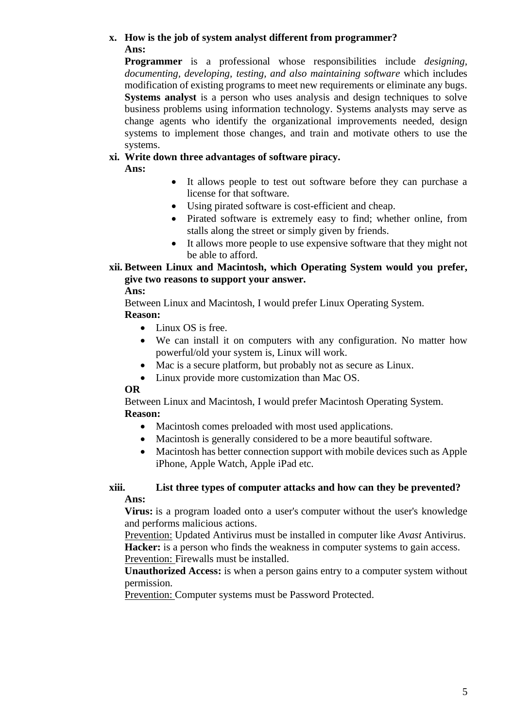## **x. How is the job of system analyst different from programmer? Ans:**

**Programmer** is a professional whose responsibilities include *designing, documenting, developing, testing, and also maintaining software* which includes modification of existing programs to meet new requirements or eliminate any bugs. **Systems analyst** is a person who uses analysis and design techniques to solve business problems using information technology. Systems analysts may serve as change agents who identify the organizational improvements needed, design systems to implement those changes, and train and motivate others to use the systems.

### **xi. Write down three advantages of software piracy.**

**Ans:**

- It allows people to test out software before they can purchase a license for that software.
- Using pirated software is cost-efficient and cheap.
- Pirated software is extremely easy to find; whether online, from stalls along the street or simply given by friends.
- It allows more people to use expensive software that they might not be able to afford.

## **xii. Between Linux and Macintosh, which Operating System would you prefer, give two reasons to support your answer.**

## **Ans:**

Between Linux and Macintosh, I would prefer Linux Operating System. **Reason:**

- Linux OS is free.
- We can install it on computers with any configuration. No matter how powerful/old your system is, Linux will work.
- Mac is a secure platform, but probably not as secure as Linux.
- Linux provide more customization than Mac OS.

## **OR**

Between Linux and Macintosh, I would prefer Macintosh Operating System. **Reason:**

- Macintosh comes preloaded with most used applications.
- Macintosh is generally considered to be a more beautiful software.
- Macintosh has better connection support with mobile devices such as Apple iPhone, Apple Watch, Apple iPad etc.

**xiii. List three types of computer attacks and how can they be prevented? Ans:** 

**Virus:** is a program loaded onto a user's computer without the user's knowledge and performs malicious actions.

Prevention: Updated Antivirus must be installed in computer like *Avast* Antivirus. **Hacker:** is a person who finds the weakness in computer systems to gain access. Prevention: Firewalls must be installed.

**Unauthorized Access:** is when a person gains entry to a computer system without permission.

Prevention: Computer systems must be Password Protected.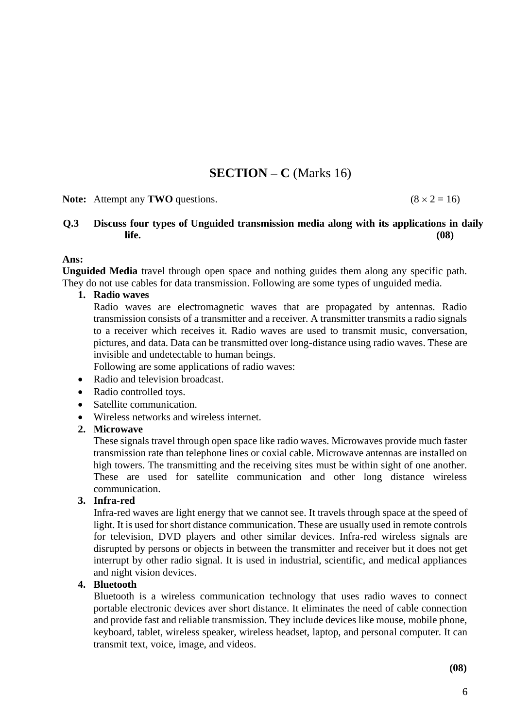## **SECTION – C** (Marks 16)

**Note:** Attempt any **TWO** questions. (8  $\times$  2 = 16)

#### **Q.3 Discuss four types of Unguided transmission media along with its applications in daily life. (08)**

#### **Ans:**

**Unguided Media** travel through open space and nothing guides them along any specific path. They do not use cables for data transmission. Following are some types of unguided media.

#### **1. Radio waves**

Radio waves are electromagnetic waves that are propagated by antennas. Radio transmission consists of a transmitter and a receiver. A transmitter transmits a radio signals to a receiver which receives it. Radio waves are used to transmit music, conversation, pictures, and data. Data can be transmitted over long-distance using radio waves. These are invisible and undetectable to human beings.

Following are some applications of radio waves:

- Radio and television broadcast.
- Radio controlled toys.
- Satellite communication.
- Wireless networks and wireless internet.

#### **2. Microwave**

These signals travel through open space like radio waves. Microwaves provide much faster transmission rate than telephone lines or coxial cable. Microwave antennas are installed on high towers. The transmitting and the receiving sites must be within sight of one another. These are used for satellite communication and other long distance wireless communication.

#### **3. Infra-red**

Infra-red waves are light energy that we cannot see. It travels through space at the speed of light. It is used for short distance communication. These are usually used in remote controls for television, DVD players and other similar devices. Infra-red wireless signals are disrupted by persons or objects in between the transmitter and receiver but it does not get interrupt by other radio signal. It is used in industrial, scientific, and medical appliances and night vision devices.

#### **4. Bluetooth**

Bluetooth is a wireless communication technology that uses radio waves to connect portable electronic devices aver short distance. It eliminates the need of cable connection and provide fast and reliable transmission. They include devices like mouse, mobile phone, keyboard, tablet, wireless speaker, wireless headset, laptop, and personal computer. It can transmit text, voice, image, and videos.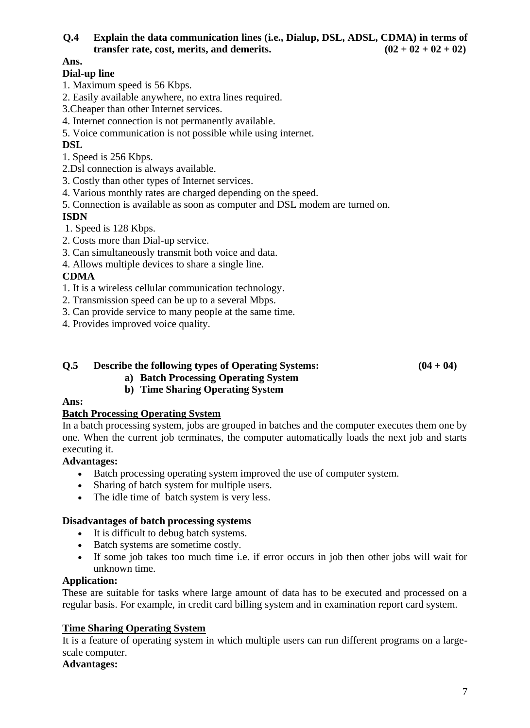### **Q.4 Explain the data communication lines (i.e., Dialup, DSL, ADSL, CDMA) in terms of transfer rate, cost, merits, and demerits.**  $(02 + 02 + 02 + 02)$

## **Ans.**

## **Dial-up line**

- 1. Maximum speed is 56 Kbps.
- 2. Easily available anywhere, no extra lines required.
- 3.Cheaper than other Internet services.
- 4. Internet connection is not permanently available.
- 5. Voice communication is not possible while using internet.

## **DSL**

- 1. Speed is 256 Kbps.
- 2.Dsl connection is always available.
- 3. Costly than other types of Internet services.
- 4. Various monthly rates are charged depending on the speed.
- 5. Connection is available as soon as computer and DSL modem are turned on.

## **ISDN**

- 1. Speed is 128 Kbps.
- 2. Costs more than Dial-up service.
- 3. Can simultaneously transmit both voice and data.
- 4. Allows multiple devices to share a single line.

## **CDMA**

- 1. It is a wireless cellular communication technology.
- 2. Transmission speed can be up to a several Mbps.
- 3. Can provide service to many people at the same time.
- 4. Provides improved voice quality.

## **Q.5 Describe the following types of Operating Systems: (04 + 04)**

**a) Batch Processing Operating System**

## **b) Time Sharing Operating System**

#### **Ans:**

## **Batch Processing Operating System**

In a batch processing system, jobs are grouped in batches and the computer executes them one by one. When the current job terminates, the computer automatically loads the next job and starts executing it.

## **Advantages:**

- Batch processing operating system improved the use of computer system.
- Sharing of batch system for multiple users.
- The idle time of batch system is very less.

## **Disadvantages of batch processing systems**

- It is difficult to debug batch systems.
- Batch systems are sometime costly.
- If some job takes too much time i.e. if error occurs in job then other jobs will wait for unknown time.

## **Application:**

These are suitable for tasks where large amount of data has to be executed and processed on a regular basis. For example, in credit card billing system and in examination report card system.

## **Time Sharing Operating System**

It is a feature of operating system in which multiple users can run different programs on a largescale computer.

#### **Advantages:**